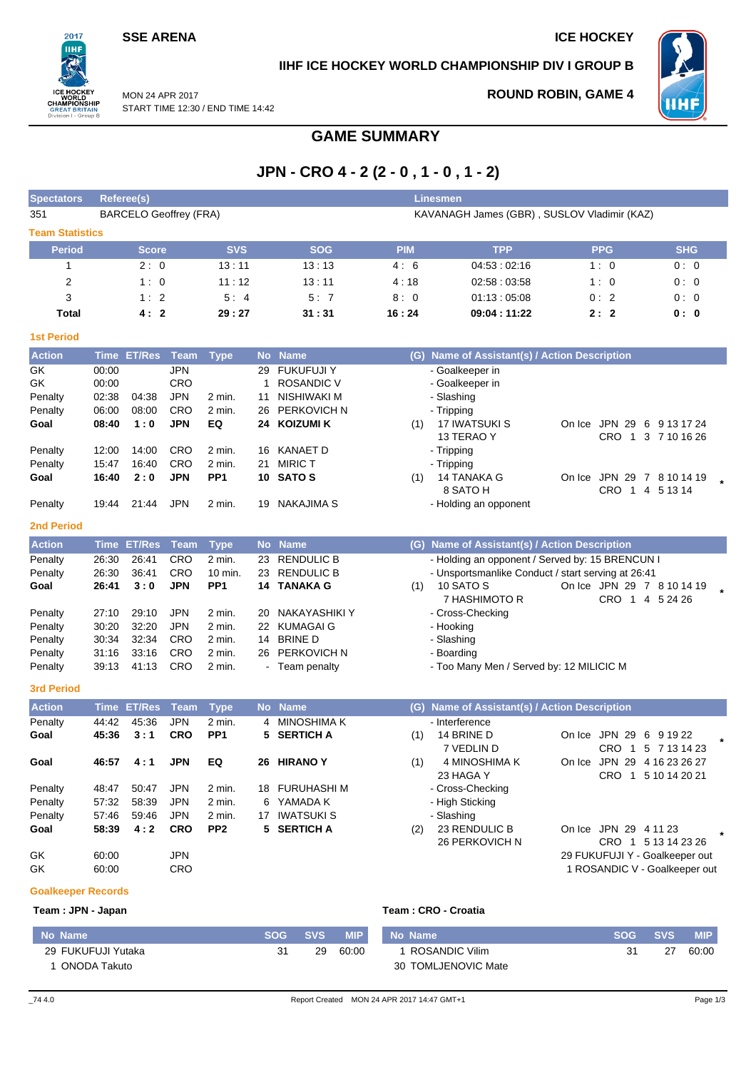### **SSE ARENA ICE HOCKEY**

 $2017$ **IIHF** 

.<br>Reati n I - Groui

### **IIHF ICE HOCKEY WORLD CHAMPIONSHIP DIV I GROUP B**

**ROUND ROBIN, GAME 4**



MON 24 APR 2017 START TIME 12:30 / END TIME 14:42

### **GAME SUMMARY**

# **JPN - CRO 4 - 2 (2 - 0 , 1 - 0 , 1 - 2)**

| <b>Spectators</b>         | Referee(s)<br><b>Linesmen</b>                                                |                    |             |                 |    |                    |            |                                                    |                                |                             |
|---------------------------|------------------------------------------------------------------------------|--------------------|-------------|-----------------|----|--------------------|------------|----------------------------------------------------|--------------------------------|-----------------------------|
| 351                       | <b>BARCELO Geoffrey (FRA)</b><br>KAVANAGH James (GBR), SUSLOV Vladimir (KAZ) |                    |             |                 |    |                    |            |                                                    |                                |                             |
| <b>Team Statistics</b>    |                                                                              |                    |             |                 |    |                    |            |                                                    |                                |                             |
| <b>Period</b>             |                                                                              | <b>Score</b>       |             | <b>SVS</b>      |    | <b>SOG</b>         | <b>PIM</b> | <b>TPP</b>                                         | <b>PPG</b>                     | <b>SHG</b>                  |
| 1                         |                                                                              | 2:0                |             | 13:11           |    | 13:13              | 4:6        | 04:53:02:16                                        | 1:0                            | 0:0                         |
| $\overline{c}$            |                                                                              | 1:0                |             | 11:12           |    | 13:11              | 4:18       | 02:58:03:58                                        | 1:0                            | 0:0                         |
| 3                         |                                                                              | 1:2                |             | 5:4             |    | 5:7                | 8:0        | 01:13:05:08                                        | 0:2                            | 0:0                         |
| <b>Total</b>              |                                                                              | 4:2                |             | 29:27           |    | 31:31              | 16:24      | 09:04:11:22                                        | 2:2                            | 0:0                         |
| <b>1st Period</b>         |                                                                              |                    |             |                 |    |                    |            |                                                    |                                |                             |
| <b>Action</b>             |                                                                              | <b>Time ET/Res</b> | <b>Team</b> | <b>Type</b>     |    | No Name            |            | (G) Name of Assistant(s) / Action Description      |                                |                             |
| GK                        | 00:00                                                                        |                    | <b>JPN</b>  |                 | 29 | <b>FUKUFUJI Y</b>  |            | - Goalkeeper in                                    |                                |                             |
| GK                        | 00:00                                                                        |                    | CRO         |                 | 1  | <b>ROSANDIC V</b>  |            | - Goalkeeper in                                    |                                |                             |
| Penalty                   | 02:38                                                                        | 04:38              | <b>JPN</b>  | 2 min.          | 11 | NISHIWAKI M        |            | - Slashing                                         |                                |                             |
| Penalty                   | 06:00                                                                        | 08:00              | CRO         | 2 min.          | 26 | <b>PERKOVICH N</b> |            | - Tripping                                         |                                |                             |
| Goal                      | 08:40                                                                        | 1:0                | <b>JPN</b>  | EQ              | 24 | <b>KOIZUMI K</b>   | (1)        | 17 IWATSUKI S<br>13 TERAO Y                        | On Ice JPN 29 6 9 13 17 24     | CRO 1 3 7 10 16 26          |
| Penalty                   | 12:00                                                                        | 14:00              | <b>CRO</b>  | 2 min.          |    | 16 KANAET D        |            | - Tripping                                         |                                |                             |
| Penalty                   | 15:47                                                                        | 16:40              | CRO         | 2 min.          | 21 | <b>MIRICT</b>      |            | - Tripping                                         |                                |                             |
| Goal                      | 16:40                                                                        | 2:0                | <b>JPN</b>  | PP1             |    | 10 SATOS           | (1)        | 14 TANAKA G                                        | On Ice JPN 29 7 8 10 14 19     |                             |
|                           |                                                                              |                    |             |                 |    |                    |            | 8 SATO H                                           |                                | CRO 1 4 5 13 14             |
| Penalty                   | 19:44                                                                        | 21:44              | <b>JPN</b>  | 2 min.          |    | 19 NAKAJIMA S      |            | - Holding an opponent                              |                                |                             |
| <b>2nd Period</b>         |                                                                              |                    |             |                 |    |                    |            |                                                    |                                |                             |
| <b>Action</b>             |                                                                              | Time ET/Res        | Team        | <b>Type</b>     |    | No Name            |            | (G) Name of Assistant(s) / Action Description      |                                |                             |
| Penalty                   | 26:30                                                                        | 26:41              | CRO         | $2$ min.        | 23 | <b>RENDULIC B</b>  |            | - Holding an opponent / Served by: 15 BRENCUN I    |                                |                             |
| Penalty                   | 26:30                                                                        | 36:41              | CRO         | 10 min.         | 23 | <b>RENDULIC B</b>  |            | - Unsportsmanlike Conduct / start serving at 26:41 |                                |                             |
| Goal                      | 26:41                                                                        | 3:0                | <b>JPN</b>  | PP <sub>1</sub> |    | 14 TANAKA G        | (1)        | 10 SATO S                                          | On Ice JPN 29 7 8 10 14 19     |                             |
| Penalty                   | 27:10                                                                        | 29:10              | <b>JPN</b>  | 2 min.          | 20 | NAKAYASHIKI Y      |            | 7 HASHIMOTO R<br>- Cross-Checking                  | CRO 1                          | 4 5 24 26                   |
| Penalty                   | 30:20                                                                        | 32:20              | <b>JPN</b>  | 2 min.          |    | 22 KUMAGAI G       |            | - Hooking                                          |                                |                             |
| Penalty                   | 30:34                                                                        | 32:34              | <b>CRO</b>  | 2 min.          | 14 | <b>BRINE D</b>     |            | - Slashing                                         |                                |                             |
| Penalty                   | 31:16                                                                        | 33:16              | CRO         | 2 min.          |    | 26 PERKOVICH N     |            | - Boarding                                         |                                |                             |
| Penalty                   | 39:13                                                                        | 41:13              | CRO         | 2 min.          |    | - Team penalty     |            | - Too Many Men / Served by: 12 MILICIC M           |                                |                             |
| <b>3rd Period</b>         |                                                                              |                    |             |                 |    |                    |            |                                                    |                                |                             |
| <b>Action</b>             |                                                                              | <b>Time ET/Res</b> | Team        | <b>Type</b>     |    | No Name            |            | (G) Name of Assistant(s) / Action Description      |                                |                             |
| Penalty                   | 44:42                                                                        | 45:36              | <b>JPN</b>  | 2 min.          | 4  | <b>MINOSHIMA K</b> |            | - Interference                                     |                                |                             |
| Goal                      | 45:36                                                                        | 3:1                | <b>CRO</b>  | PP <sub>1</sub> | 5  | <b>SERTICH A</b>   | (1)        | 14 BRINE D<br>7 VEDLIN D                           | On Ice JPN 29<br>CRO 1         | 6 9 1 9 2 2<br>5 7 13 14 23 |
| Goal                      | 46:57                                                                        | 4:1                | <b>JPN</b>  | EQ              |    | 26 HIRANO Y        | (1)        | 4 MINOSHIMA K                                      | On Ice JPN 29 4 16 23 26 27    |                             |
|                           |                                                                              |                    |             |                 |    |                    |            | 23 HAGA Y                                          |                                | CRO 1 5 10 14 20 21         |
| Penalty                   | 48:47                                                                        | 50:47              | <b>JPN</b>  | 2 min.          |    | 18 FURUHASHI M     |            | - Cross-Checking                                   |                                |                             |
| Penalty                   | 57:32                                                                        | 58:39              | <b>JPN</b>  | 2 min.          |    | 6 YAMADA K         |            | - High Sticking                                    |                                |                             |
| Penalty                   | 57:46                                                                        | 59:46              | <b>JPN</b>  | 2 min.          |    | 17 IWATSUKI S      |            | - Slashing                                         |                                |                             |
| Goal                      | 58:39                                                                        | 4:2                | <b>CRO</b>  | PP <sub>2</sub> |    | 5 SERTICH A        | (2)        | 23 RENDULIC B<br>26 PERKOVICH N                    | On Ice JPN 29 4 11 23          |                             |
| GK                        | 60:00                                                                        |                    | <b>JPN</b>  |                 |    |                    |            |                                                    | 29 FUKUFUJI Y - Goalkeeper out | CRO 1 5 13 14 23 26         |
| GK                        | 60:00                                                                        |                    | CRO         |                 |    |                    |            |                                                    | 1 ROSANDIC V - Goalkeeper out  |                             |
|                           |                                                                              |                    |             |                 |    |                    |            |                                                    |                                |                             |
| <b>Goalkeeper Records</b> |                                                                              |                    |             |                 |    |                    |            |                                                    |                                |                             |
| Team: JPN - Japan         |                                                                              |                    |             |                 |    |                    |            | Team: CRO - Croatia                                |                                |                             |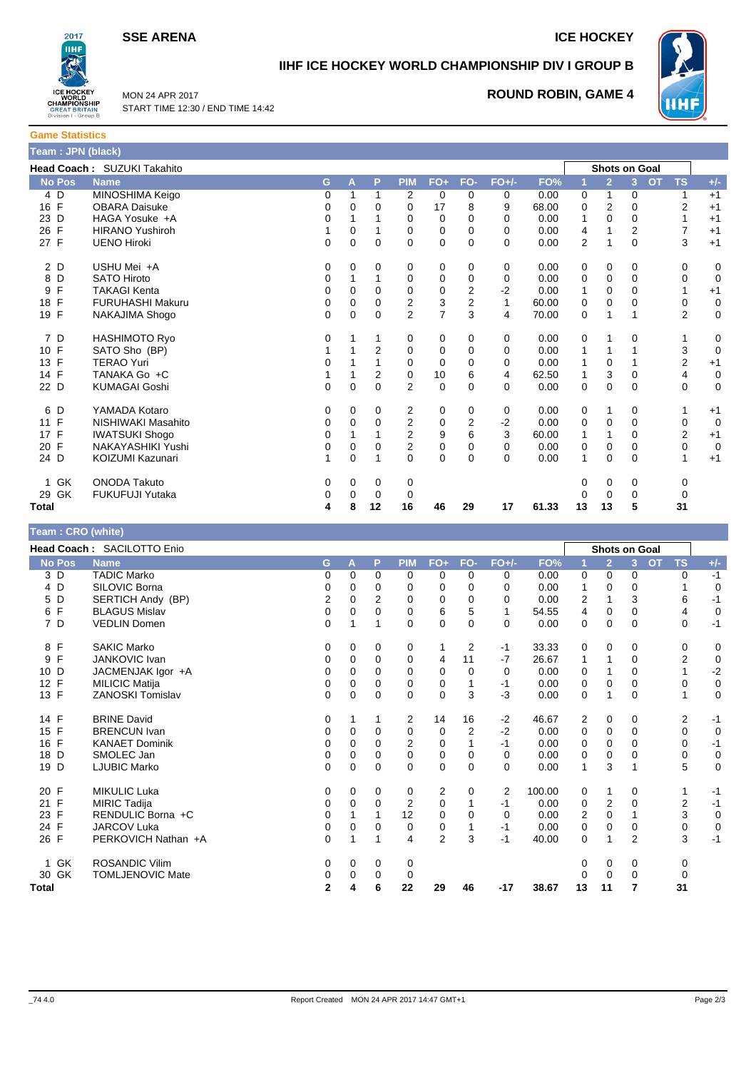**SSE ARENA ICE HOCKEY** 

**WHF** 



# **IIHF ICE HOCKEY WORLD CHAMPIONSHIP DIV I GROUP B**

MON 24 APR 2017 START TIME 12:30 / END TIME 14:42

### **ROUND ROBIN, GAME 4**



|               | Head Coach: SUZUKI Takahito |   |          |          |                |                |                |          |       |             |                | <b>Shots on Goal</b> |                |             |
|---------------|-----------------------------|---|----------|----------|----------------|----------------|----------------|----------|-------|-------------|----------------|----------------------|----------------|-------------|
| <b>No Pos</b> | <b>Name</b>                 | G | A        | P        | <b>PIM</b>     | $FO+$          | FO-            | $FO+/-$  | FO%   |             | $\overline{2}$ | <b>OT</b><br>3       | <b>TS</b>      | $+/-$       |
| 4 D           | MINOSHIMA Keigo             | 0 |          | 1        | 2              | 0              | 0              | 0        | 0.00  | $\mathbf 0$ | 1              | 0                    |                | $+1$        |
| 16 F          | <b>OBARA Daisuke</b>        | 0 | 0        | 0        | 0              | 17             | 8              | 9        | 68.00 | 0           | 2              | 0                    | 2              | $+1$        |
| 23 D          | HAGA Yosuke +A              | 0 |          |          | 0              | $\mathbf 0$    | 0              | $\Omega$ | 0.00  | 1           | $\Omega$       | $\mathbf 0$          | 1              | $+1$        |
| 26 F          | <b>HIRANO Yushiroh</b>      | 1 | 0        |          | 0              | 0              | 0              | 0        | 0.00  | 4           |                | 2                    | 7              | $+1$        |
| 27 F          | <b>UENO Hiroki</b>          | 0 | 0        | 0        | 0              | $\mathbf 0$    | 0              | $\Omega$ | 0.00  | 2           |                | 0                    | 3              | $+1$        |
| 2 D           | USHU Mei +A                 | 0 | 0        | 0        | 0              | 0              | 0              | 0        | 0.00  | 0           | 0              | 0                    | 0              | 0           |
| D<br>8        | <b>SATO Hiroto</b>          | 0 | 1        |          | 0              | 0              | 0              | 0        | 0.00  | 0           | $\mathbf 0$    | 0                    | 0              | $\mathbf 0$ |
| F<br>9        | <b>TAKAGI Kenta</b>         | 0 | 0        | 0        | 0              | 0              | $\overline{2}$ | $-2$     | 0.00  | 1           | $\mathbf 0$    | 0                    | 1              | $+1$        |
| F<br>18       | FURUHASHI Makuru            | 0 | 0        | 0        | 2              | 3              | 2              | 1        | 60.00 | 0           | 0              | 0                    | 0              | $\mathbf 0$ |
| F<br>19       | NAKAJIMA Shogo              | 0 | $\Omega$ | $\Omega$ | $\overline{2}$ | $\overline{7}$ | 3              | 4        | 70.00 | 0           | 1              |                      | $\overline{2}$ | 0           |
| 7 D           | <b>HASHIMOTO Ryo</b>        | 0 |          |          | 0              | 0              | 0              | 0        | 0.00  | $\mathbf 0$ | 1              | 0                    |                | 0           |
| 10 F          | SATO Sho (BP)               |   |          | 2        | 0              | 0              | 0              | 0        | 0.00  | 1           |                |                      | 3              | $\mathbf 0$ |
| F<br>13       | <b>TERAO Yuri</b>           | 0 |          |          | $\Omega$       | $\mathbf 0$    | 0              | 0        | 0.00  | 1           | 0              |                      | 2              | $+1$        |
| 14 F          | TANAKA Go +C                |   |          | 2        | 0              | 10             | 6              | 4        | 62.50 | 1           | 3              | 0                    | 4              | 0           |
| 22 D          | <b>KUMAGAI Goshi</b>        | 0 | $\Omega$ | $\Omega$ | $\overline{2}$ | $\mathbf 0$    | 0              | $\Omega$ | 0.00  | 0           | $\mathbf 0$    | $\Omega$             | 0              | $\mathbf 0$ |
| 6 D           | YAMADA Kotaro               | 0 | 0        | 0        | 2              | 0              | 0              | 0        | 0.00  | 0           | 1              | 0                    |                | $+1$        |
| F<br>11       | NISHIWAKI Masahito          | 0 | 0        | 0        | 2              | 0              | $\overline{2}$ | $-2$     | 0.00  | $\mathbf 0$ | $\mathbf 0$    | 0                    | $\mathbf 0$    | $\mathbf 0$ |
| F<br>17       | <b>IWATSUKI Shogo</b>       | 0 |          |          | 2              | 9              | 6              | 3        | 60.00 | 1           | $\mathbf{1}$   | 0                    | 2              | $+1$        |
| 20 F          | NAKAYASHIKI Yushi           | 0 | 0        | 0        | 2              | $\mathbf 0$    | 0              | 0        | 0.00  | 0           | 0              | 0                    | 0              | $\mathbf 0$ |
| 24 D          | KOIZUMI Kazunari            | 1 | $\Omega$ | 1        | $\Omega$       | $\Omega$       | $\Omega$       | $\Omega$ | 0.00  | 1           | $\Omega$       | $\Omega$             | 1              | $+1$        |
| GK<br>1       | <b>ONODA Takuto</b>         | 0 | 0        | 0        | 0              |                |                |          |       | 0           | 0              | 0                    | 0              |             |
| GK<br>29      | <b>FUKUFUJI Yutaka</b>      | 0 | 0        | 0        | 0              |                |                |          |       | Ω           | 0              | 0                    | 0              |             |
| <b>Total</b>  |                             | 4 | 8        | 12       | 16             | 46             | 29             | 17       | 61.33 | 13          | 13             | 5                    | 31             |             |

| Team: CRO (white)  |                            |              |          |             |                |                |          |          |        |          |                      |                |           |                |             |
|--------------------|----------------------------|--------------|----------|-------------|----------------|----------------|----------|----------|--------|----------|----------------------|----------------|-----------|----------------|-------------|
|                    | Head Coach: SACILOTTO Enio |              |          |             |                |                |          |          |        |          | <b>Shots on Goal</b> |                |           |                |             |
| <b>No Pos</b>      | <b>Name</b>                | G            | A        | P           | <b>PIM</b>     | $FO+$          | FO-      | $FO+/-$  | FO%    |          | $\overline{2}$       | 3 <sup>1</sup> | <b>OT</b> | <b>TS</b>      | $+/-$       |
| 3 D                | <b>TADIC Marko</b>         | 0            | 0        | 0           | 0              | 0              | 0        | 0        | 0.00   | 0        | 0                    | 0              |           | 0              | $-1$        |
| 4 D                | SILOVIC Borna              | 0            | 0        | $\Omega$    | 0              | $\Omega$       | 0        | 0        | 0.00   |          | 0                    | $\Omega$       |           | 1              | 0           |
| D<br>5             | SERTICH Andy (BP)          | 2            | 0        | 2           | 0              | 0              | 0        | 0        | 0.00   | 2        | 1                    | 3              |           | 6              | $-1$        |
| 6 F                | <b>BLAGUS Mislav</b>       | 0            | 0        | 0           | 0              | 6              | 5        | 1        | 54.55  | 4        | 0                    | 0              |           | 4              | 0           |
| 7 D                | <b>VEDLIN Domen</b>        | 0            | 1        | 1           | $\Omega$       | $\Omega$       | $\Omega$ | $\Omega$ | 0.00   | $\Omega$ | $\Omega$             | $\Omega$       |           | 0              | $-1$        |
| F<br>8             | <b>SAKIC Marko</b>         | 0            | 0        | 0           | 0              | 1              | 2        | $-1$     | 33.33  | 0        | 0                    | 0              |           | 0              | 0           |
| F<br>9             | <b>JANKOVIC Ivan</b>       | 0            | 0        | $\mathbf 0$ | 0              | 4              | 11       | $-7$     | 26.67  | 1        | 1                    | 0              |           | $\overline{2}$ | $\mathbf 0$ |
| 10 D               | JACMENJAK Igor +A          | 0            | 0        | 0           | $\Omega$       | 0              | 0        | 0        | 0.00   | 0        |                      | 0              |           | 1              | $-2$        |
| 12 F               | <b>MILICIC Matija</b>      | 0            | $\Omega$ | 0           | 0              | 0              |          | $-1$     | 0.00   | 0        | $\Omega$             | $\Omega$       |           | 0              | $\pmb{0}$   |
| 13 F               | <b>ZANOSKI Tomislav</b>    | 0            | 0        | 0           | 0              | 0              | 3        | $-3$     | 0.00   | 0        | 1                    | 0              |           | 1              | 0           |
| 14 F               | <b>BRINE David</b>         | 0            | 1        | 1           | $\overline{2}$ | 14             | 16       | $-2$     | 46.67  | 2        | 0                    | 0              |           | 2              | $-1$        |
| 15 F               | <b>BRENCUN Ivan</b>        | 0            | 0        | $\Omega$    | 0              | 0              | 2        | $-2$     | 0.00   | 0        | 0                    | $\Omega$       |           | 0              | $\mathbf 0$ |
| F<br>16            | <b>KANAET Dominik</b>      | 0            | 0        | 0           | 2              | 0              |          | $-1$     | 0.00   | 0        | 0                    | $\Omega$       |           | 0              | $-1$        |
| D<br>18            | SMOLEC Jan                 | 0            | 0        | $\Omega$    | $\Omega$       | 0              | $\Omega$ | $\Omega$ | 0.00   | 0        | 0                    | 0              |           | 0              | $\mathsf 0$ |
| D<br>19            | <b>LJUBIC Marko</b>        | 0            | $\Omega$ | $\Omega$    | $\Omega$       | $\Omega$       | $\Omega$ | 0        | 0.00   | 1        | 3                    |                |           | 5              | $\mathbf 0$ |
| 20 F               | <b>MIKULIC Luka</b>        | 0            | 0        | 0           | 0              | 2              | 0        | 2        | 100.00 | 0        | 1                    | 0              |           | 1              | $-1$        |
| $\mathsf{F}$<br>21 | <b>MIRIC Tadija</b>        | 0            | 0        | 0           | 2              | 0              |          | $-1$     | 0.00   | 0        | $\overline{2}$       | 0              |           | $\overline{2}$ | $-1$        |
| 23 F               | RENDULIC Borna +C          | 0            |          |             | 12             | 0              | 0        | 0        | 0.00   | 2        | 0                    |                |           | 3              | $\mathsf 0$ |
| F<br>24            | <b>JARCOV Luka</b>         | 0            | 0        | 0           | 0              | 0              |          | $-1$     | 0.00   | 0        | 0                    | 0              |           | 0              | $\mathbf 0$ |
| 26 F               | PERKOVICH Nathan +A        | $\Omega$     | 1        |             | 4              | $\overline{2}$ | 3        | $-1$     | 40.00  | $\Omega$ | 1                    | 2              |           | 3              | $-1$        |
| GK<br>1.           | <b>ROSANDIC Vilim</b>      | 0            | 0        | 0           | 0              |                |          |          |        | 0        | $\mathbf 0$          | 0              |           | 0              |             |
| 30 GK              | <b>TOMLJENOVIC Mate</b>    | 0            | 0        | 0           | 0              |                |          |          |        | $\Omega$ | 0                    | 0              |           | 0              |             |
| <b>Total</b>       |                            | $\mathbf{2}$ | 4        | 6           | 22             | 29             | 46       | -17      | 38.67  | 13       | 11                   | 7              |           | 31             |             |